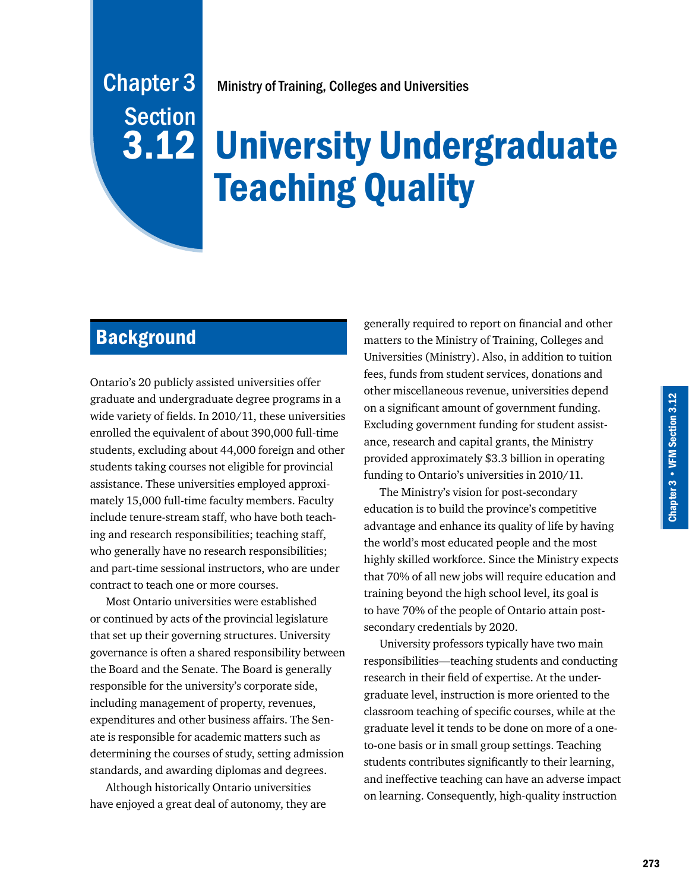# Ministry of Training, Colleges and Universities

# **3.12 University Undergraduate** Teaching Quality

# **Background**

Chapter 3

**Section** 

Ontario's 20 publicly assisted universities offer graduate and undergraduate degree programs in a wide variety of fields. In 2010/11, these universities enrolled the equivalent of about 390,000 full-time students, excluding about 44,000 foreign and other students taking courses not eligible for provincial assistance. These universities employed approximately 15,000 full-time faculty members. Faculty include tenure-stream staff, who have both teaching and research responsibilities; teaching staff, who generally have no research responsibilities; and part-time sessional instructors, who are under contract to teach one or more courses.

Most Ontario universities were established or continued by acts of the provincial legislature that set up their governing structures. University governance is often a shared responsibility between the Board and the Senate. The Board is generally responsible for the university's corporate side, including management of property, revenues, expenditures and other business affairs. The Senate is responsible for academic matters such as determining the courses of study, setting admission standards, and awarding diplomas and degrees.

Although historically Ontario universities have enjoyed a great deal of autonomy, they are generally required to report on financial and other matters to the Ministry of Training, Colleges and Universities (Ministry). Also, in addition to tuition fees, funds from student services, donations and other miscellaneous revenue, universities depend on a significant amount of government funding. Excluding government funding for student assistance, research and capital grants, the Ministry provided approximately \$3.3 billion in operating funding to Ontario's universities in 2010/11.

The Ministry's vision for post-secondary education is to build the province's competitive advantage and enhance its quality of life by having the world's most educated people and the most highly skilled workforce. Since the Ministry expects that 70% of all new jobs will require education and training beyond the high school level, its goal is to have 70% of the people of Ontario attain postsecondary credentials by 2020.

University professors typically have two main responsibilities—teaching students and conducting research in their field of expertise. At the undergraduate level, instruction is more oriented to the classroom teaching of specific courses, while at the graduate level it tends to be done on more of a oneto-one basis or in small group settings. Teaching students contributes significantly to their learning, and ineffective teaching can have an adverse impact on learning. Consequently, high-quality instruction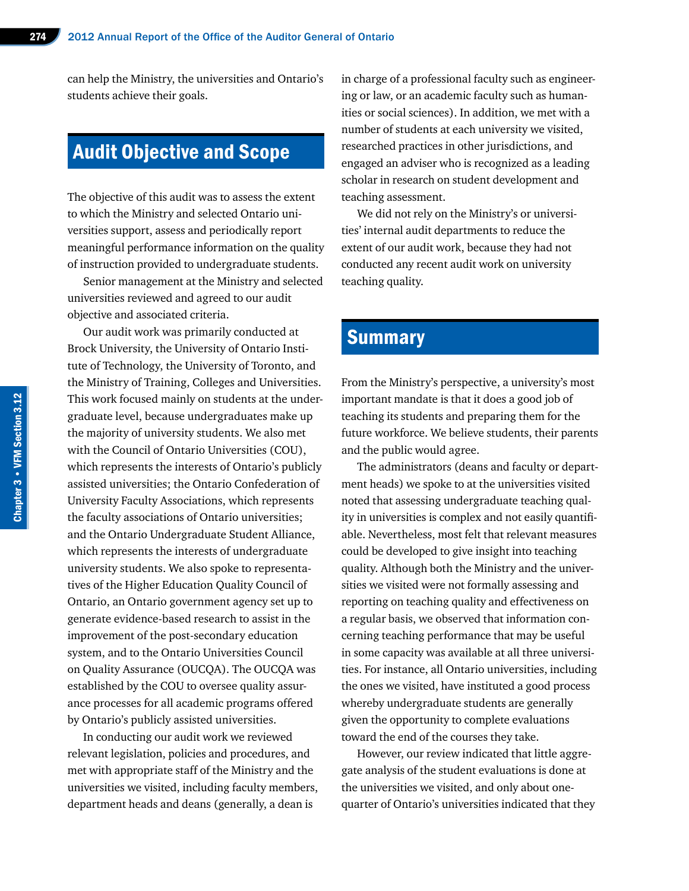can help the Ministry, the universities and Ontario's students achieve their goals.

# Audit Objective and Scope

The objective of this audit was to assess the extent to which the Ministry and selected Ontario universities support, assess and periodically report meaningful performance information on the quality of instruction provided to undergraduate students.

Senior management at the Ministry and selected universities reviewed and agreed to our audit objective and associated criteria.

Our audit work was primarily conducted at Brock University, the University of Ontario Institute of Technology, the University of Toronto, and the Ministry of Training, Colleges and Universities. This work focused mainly on students at the undergraduate level, because undergraduates make up the majority of university students. We also met with the Council of Ontario Universities (COU), which represents the interests of Ontario's publicly assisted universities; the Ontario Confederation of University Faculty Associations, which represents the faculty associations of Ontario universities; and the Ontario Undergraduate Student Alliance, which represents the interests of undergraduate university students. We also spoke to representatives of the Higher Education Quality Council of Ontario, an Ontario government agency set up to generate evidence-based research to assist in the improvement of the post-secondary education system, and to the Ontario Universities Council on Quality Assurance (OUCQA). The OUCQA was established by the COU to oversee quality assurance processes for all academic programs offered by Ontario's publicly assisted universities.

In conducting our audit work we reviewed relevant legislation, policies and procedures, and met with appropriate staff of the Ministry and the universities we visited, including faculty members, department heads and deans (generally, a dean is

in charge of a professional faculty such as engineering or law, or an academic faculty such as humanities or social sciences). In addition, we met with a number of students at each university we visited, researched practices in other jurisdictions, and engaged an adviser who is recognized as a leading scholar in research on student development and teaching assessment.

We did not rely on the Ministry's or universities' internal audit departments to reduce the extent of our audit work, because they had not conducted any recent audit work on university teaching quality.

# **Summary**

From the Ministry's perspective, a university's most important mandate is that it does a good job of teaching its students and preparing them for the future workforce. We believe students, their parents and the public would agree.

The administrators (deans and faculty or department heads) we spoke to at the universities visited noted that assessing undergraduate teaching quality in universities is complex and not easily quantifiable. Nevertheless, most felt that relevant measures could be developed to give insight into teaching quality. Although both the Ministry and the universities we visited were not formally assessing and reporting on teaching quality and effectiveness on a regular basis, we observed that information concerning teaching performance that may be useful in some capacity was available at all three universities. For instance, all Ontario universities, including the ones we visited, have instituted a good process whereby undergraduate students are generally given the opportunity to complete evaluations toward the end of the courses they take.

However, our review indicated that little aggregate analysis of the student evaluations is done at the universities we visited, and only about onequarter of Ontario's universities indicated that they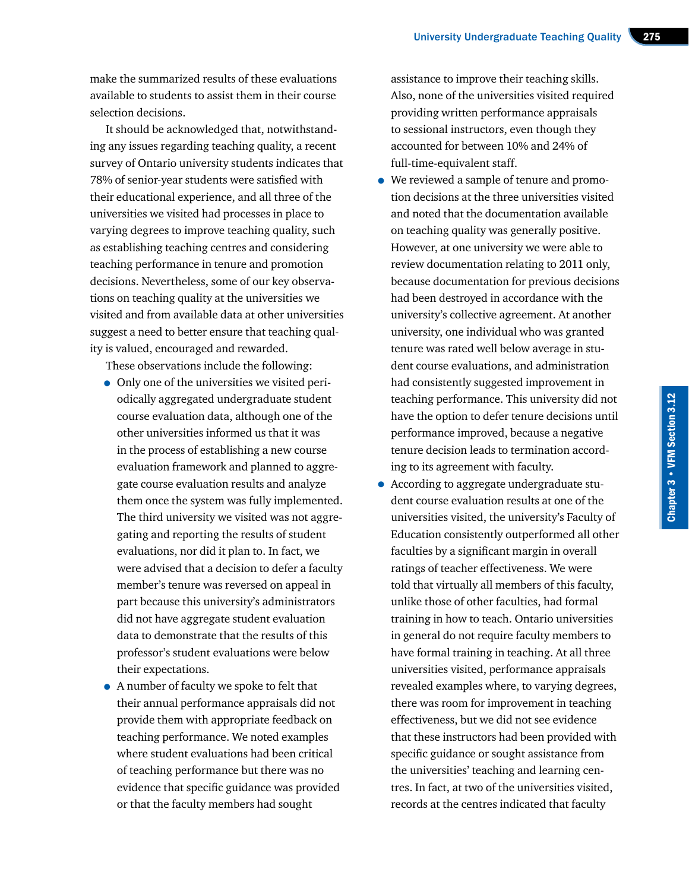make the summarized results of these evaluations available to students to assist them in their course selection decisions.

It should be acknowledged that, notwithstanding any issues regarding teaching quality, a recent survey of Ontario university students indicates that 78% of senior-year students were satisfied with their educational experience, and all three of the universities we visited had processes in place to varying degrees to improve teaching quality, such as establishing teaching centres and considering teaching performance in tenure and promotion decisions. Nevertheless, some of our key observations on teaching quality at the universities we visited and from available data at other universities suggest a need to better ensure that teaching quality is valued, encouraged and rewarded.

These observations include the following:

- Only one of the universities we visited periodically aggregated undergraduate student course evaluation data, although one of the other universities informed us that it was in the process of establishing a new course evaluation framework and planned to aggregate course evaluation results and analyze them once the system was fully implemented. The third university we visited was not aggregating and reporting the results of student evaluations, nor did it plan to. In fact, we were advised that a decision to defer a faculty member's tenure was reversed on appeal in part because this university's administrators did not have aggregate student evaluation data to demonstrate that the results of this professor's student evaluations were below their expectations.
- A number of faculty we spoke to felt that their annual performance appraisals did not provide them with appropriate feedback on teaching performance. We noted examples where student evaluations had been critical of teaching performance but there was no evidence that specific guidance was provided or that the faculty members had sought

assistance to improve their teaching skills. Also, none of the universities visited required providing written performance appraisals to sessional instructors, even though they accounted for between 10% and 24% of full-time-equivalent staff.

- We reviewed a sample of tenure and promotion decisions at the three universities visited and noted that the documentation available on teaching quality was generally positive. However, at one university we were able to review documentation relating to 2011 only, because documentation for previous decisions had been destroyed in accordance with the university's collective agreement. At another university, one individual who was granted tenure was rated well below average in student course evaluations, and administration had consistently suggested improvement in teaching performance. This university did not have the option to defer tenure decisions until performance improved, because a negative tenure decision leads to termination according to its agreement with faculty.
- According to aggregate undergraduate student course evaluation results at one of the universities visited, the university's Faculty of Education consistently outperformed all other faculties by a significant margin in overall ratings of teacher effectiveness. We were told that virtually all members of this faculty, unlike those of other faculties, had formal training in how to teach. Ontario universities in general do not require faculty members to have formal training in teaching. At all three universities visited, performance appraisals revealed examples where, to varying degrees, there was room for improvement in teaching effectiveness, but we did not see evidence that these instructors had been provided with specific guidance or sought assistance from the universities' teaching and learning centres. In fact, at two of the universities visited, records at the centres indicated that faculty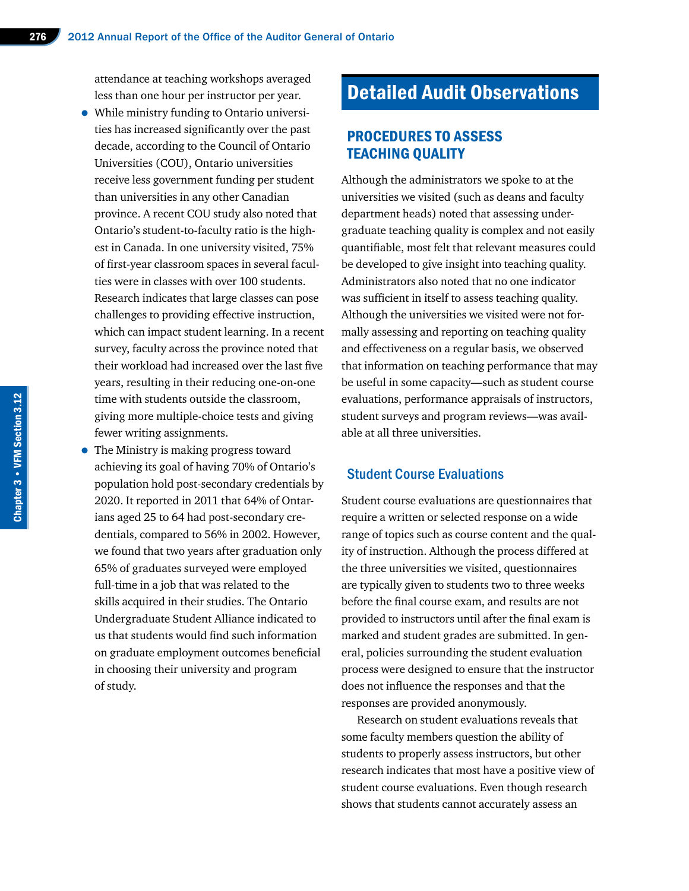attendance at teaching workshops averaged less than one hour per instructor per year.

- While ministry funding to Ontario universities has increased significantly over the past decade, according to the Council of Ontario Universities (COU), Ontario universities receive less government funding per student than universities in any other Canadian province. A recent COU study also noted that Ontario's student-to-faculty ratio is the highest in Canada. In one university visited, 75% of first-year classroom spaces in several faculties were in classes with over 100 students. Research indicates that large classes can pose challenges to providing effective instruction, which can impact student learning. In a recent survey, faculty across the province noted that their workload had increased over the last five years, resulting in their reducing one-on-one time with students outside the classroom, giving more multiple-choice tests and giving fewer writing assignments.
- The Ministry is making progress toward achieving its goal of having 70% of Ontario's population hold post-secondary credentials by 2020. It reported in 2011 that 64% of Ontarians aged 25 to 64 had post-secondary credentials, compared to 56% in 2002. However, we found that two years after graduation only 65% of graduates surveyed were employed full-time in a job that was related to the skills acquired in their studies. The Ontario Undergraduate Student Alliance indicated to us that students would find such information on graduate employment outcomes beneficial in choosing their university and program of study.

# Detailed Audit Observations

## PROCEDURES TO ASSESS TEACHING QUALITY

Although the administrators we spoke to at the universities we visited (such as deans and faculty department heads) noted that assessing undergraduate teaching quality is complex and not easily quantifiable, most felt that relevant measures could be developed to give insight into teaching quality. Administrators also noted that no one indicator was sufficient in itself to assess teaching quality. Although the universities we visited were not formally assessing and reporting on teaching quality and effectiveness on a regular basis, we observed that information on teaching performance that may be useful in some capacity—such as student course evaluations, performance appraisals of instructors, student surveys and program reviews—was available at all three universities.

#### Student Course Evaluations

Student course evaluations are questionnaires that require a written or selected response on a wide range of topics such as course content and the quality of instruction. Although the process differed at the three universities we visited, questionnaires are typically given to students two to three weeks before the final course exam, and results are not provided to instructors until after the final exam is marked and student grades are submitted. In general, policies surrounding the student evaluation process were designed to ensure that the instructor does not influence the responses and that the responses are provided anonymously.

Research on student evaluations reveals that some faculty members question the ability of students to properly assess instructors, but other research indicates that most have a positive view of student course evaluations. Even though research shows that students cannot accurately assess an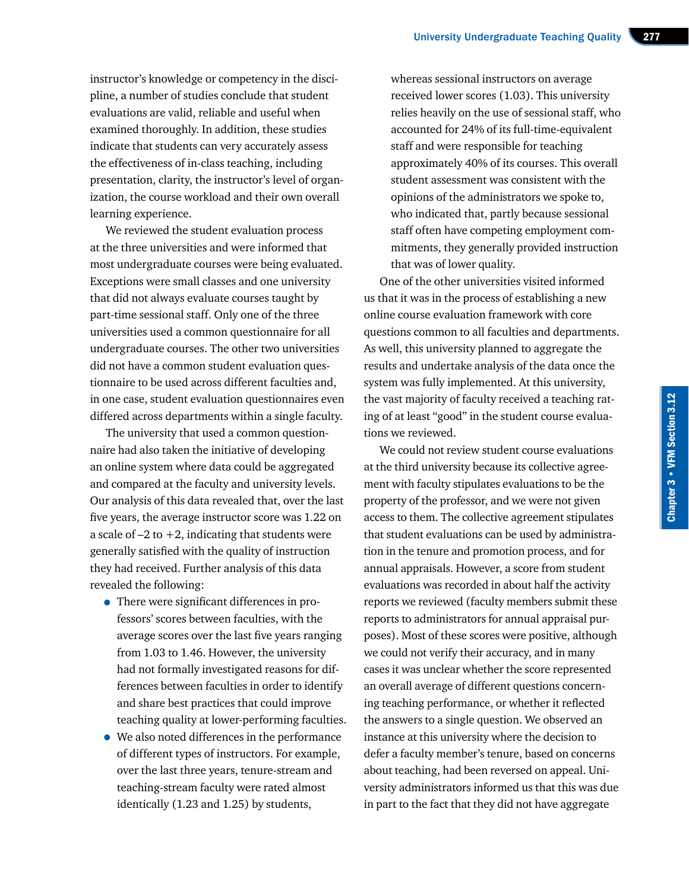instructor's knowledge or competency in the discipline, a number of studies conclude that student evaluations are valid, reliable and useful when examined thoroughly. In addition, these studies indicate that students can very accurately assess the effectiveness of in-class teaching, including presentation, clarity, the instructor's level of organization, the course workload and their own overall learning experience.

We reviewed the student evaluation process at the three universities and were informed that most undergraduate courses were being evaluated. Exceptions were small classes and one university that did not always evaluate courses taught by part-time sessional staff. Only one of the three universities used a common questionnaire for all undergraduate courses. The other two universities did not have a common student evaluation questionnaire to be used across different faculties and, in one case, student evaluation questionnaires even differed across departments within a single faculty.

The university that used a common questionnaire had also taken the initiative of developing an online system where data could be aggregated and compared at the faculty and university levels. Our analysis of this data revealed that, over the last five years, the average instructor score was 1.22 on a scale of  $-2$  to  $+2$ , indicating that students were generally satisfied with the quality of instruction they had received. Further analysis of this data revealed the following:

- There were significant differences in professors' scores between faculties, with the average scores over the last five years ranging from 1.03 to 1.46. However, the university had not formally investigated reasons for differences between faculties in order to identify and share best practices that could improve teaching quality at lower-performing faculties.
- We also noted differences in the performance of different types of instructors. For example, over the last three years, tenure-stream and teaching-stream faculty were rated almost identically (1.23 and 1.25) by students,

whereas sessional instructors on average received lower scores (1.03). This university relies heavily on the use of sessional staff, who accounted for 24% of its full-time-equivalent staff and were responsible for teaching approximately 40% of its courses. This overall student assessment was consistent with the opinions of the administrators we spoke to, who indicated that, partly because sessional staff often have competing employment commitments, they generally provided instruction that was of lower quality.

One of the other universities visited informed us that it was in the process of establishing a new online course evaluation framework with core questions common to all faculties and departments. As well, this university planned to aggregate the results and undertake analysis of the data once the system was fully implemented. At this university, the vast majority of faculty received a teaching rating of at least "good" in the student course evaluations we reviewed.

We could not review student course evaluations at the third university because its collective agreement with faculty stipulates evaluations to be the property of the professor, and we were not given access to them. The collective agreement stipulates that student evaluations can be used by administration in the tenure and promotion process, and for annual appraisals. However, a score from student evaluations was recorded in about half the activity reports we reviewed (faculty members submit these reports to administrators for annual appraisal purposes). Most of these scores were positive, although we could not verify their accuracy, and in many cases it was unclear whether the score represented an overall average of different questions concerning teaching performance, or whether it reflected the answers to a single question. We observed an instance at this university where the decision to defer a faculty member's tenure, based on concerns about teaching, had been reversed on appeal. University administrators informed us that this was due in part to the fact that they did not have aggregate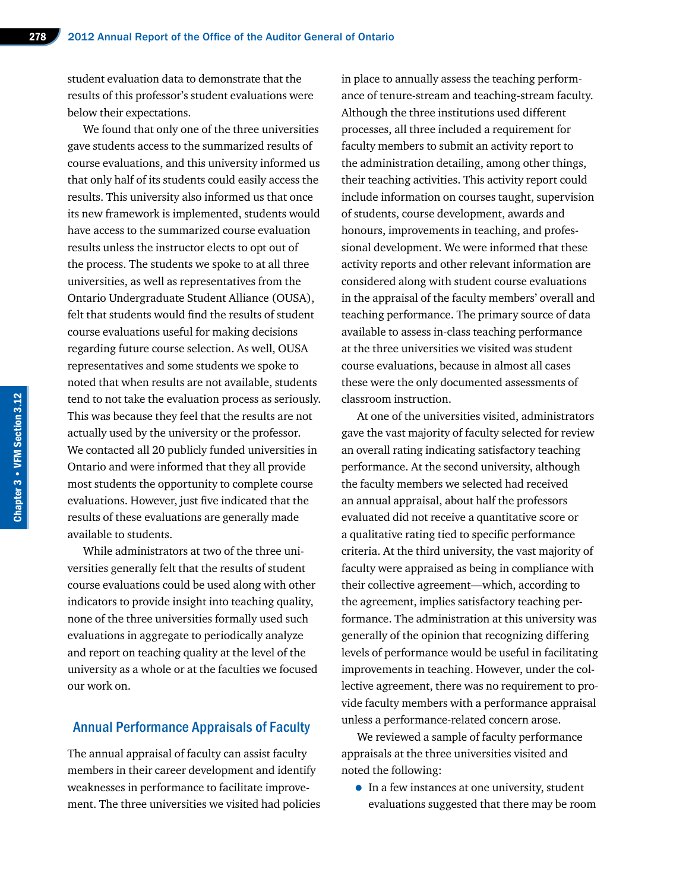student evaluation data to demonstrate that the results of this professor's student evaluations were below their expectations.

We found that only one of the three universities gave students access to the summarized results of course evaluations, and this university informed us that only half of its students could easily access the results. This university also informed us that once its new framework is implemented, students would have access to the summarized course evaluation results unless the instructor elects to opt out of the process. The students we spoke to at all three universities, as well as representatives from the Ontario Undergraduate Student Alliance (OUSA), felt that students would find the results of student course evaluations useful for making decisions regarding future course selection. As well, OUSA representatives and some students we spoke to noted that when results are not available, students tend to not take the evaluation process as seriously. This was because they feel that the results are not actually used by the university or the professor. We contacted all 20 publicly funded universities in Ontario and were informed that they all provide most students the opportunity to complete course evaluations. However, just five indicated that the results of these evaluations are generally made available to students.

While administrators at two of the three universities generally felt that the results of student course evaluations could be used along with other indicators to provide insight into teaching quality, none of the three universities formally used such evaluations in aggregate to periodically analyze and report on teaching quality at the level of the university as a whole or at the faculties we focused our work on.

#### Annual Performance Appraisals of Faculty

The annual appraisal of faculty can assist faculty members in their career development and identify weaknesses in performance to facilitate improvement. The three universities we visited had policies in place to annually assess the teaching performance of tenure-stream and teaching-stream faculty. Although the three institutions used different processes, all three included a requirement for faculty members to submit an activity report to the administration detailing, among other things, their teaching activities. This activity report could include information on courses taught, supervision of students, course development, awards and honours, improvements in teaching, and professional development. We were informed that these activity reports and other relevant information are considered along with student course evaluations in the appraisal of the faculty members' overall and teaching performance. The primary source of data available to assess in-class teaching performance at the three universities we visited was student course evaluations, because in almost all cases these were the only documented assessments of classroom instruction.

At one of the universities visited, administrators gave the vast majority of faculty selected for review an overall rating indicating satisfactory teaching performance. At the second university, although the faculty members we selected had received an annual appraisal, about half the professors evaluated did not receive a quantitative score or a qualitative rating tied to specific performance criteria. At the third university, the vast majority of faculty were appraised as being in compliance with their collective agreement—which, according to the agreement, implies satisfactory teaching performance. The administration at this university was generally of the opinion that recognizing differing levels of performance would be useful in facilitating improvements in teaching. However, under the collective agreement, there was no requirement to provide faculty members with a performance appraisal unless a performance-related concern arose.

We reviewed a sample of faculty performance appraisals at the three universities visited and noted the following:

• In a few instances at one university, student evaluations suggested that there may be room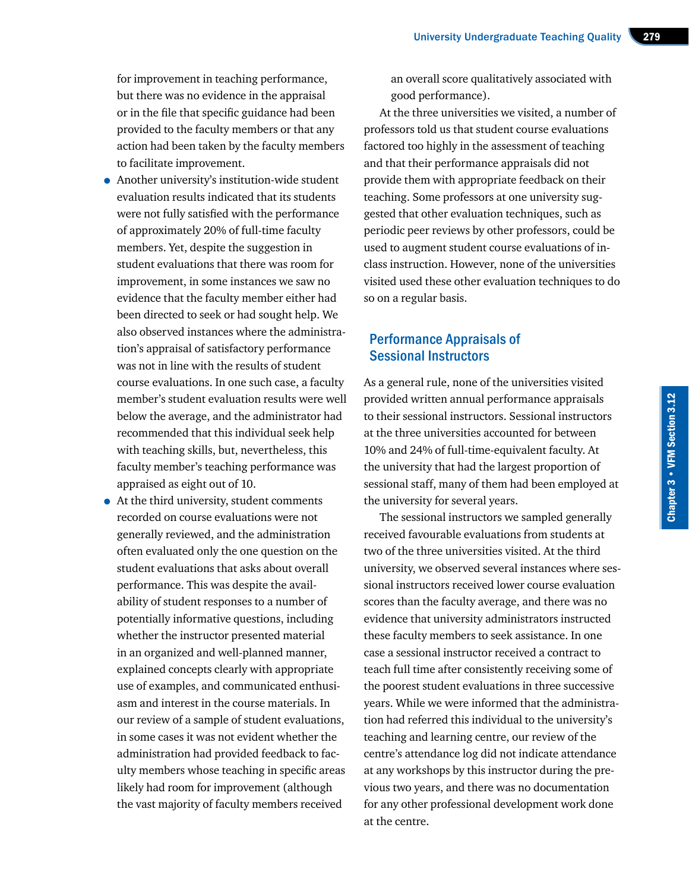for improvement in teaching performance, but there was no evidence in the appraisal or in the file that specific guidance had been provided to the faculty members or that any action had been taken by the faculty members to facilitate improvement.

- Another university's institution-wide student evaluation results indicated that its students were not fully satisfied with the performance of approximately 20% of full-time faculty members. Yet, despite the suggestion in student evaluations that there was room for improvement, in some instances we saw no evidence that the faculty member either had been directed to seek or had sought help. We also observed instances where the administration's appraisal of satisfactory performance was not in line with the results of student course evaluations. In one such case, a faculty member's student evaluation results were well below the average, and the administrator had recommended that this individual seek help with teaching skills, but, nevertheless, this faculty member's teaching performance was appraised as eight out of 10.
- At the third university, student comments recorded on course evaluations were not generally reviewed, and the administration often evaluated only the one question on the student evaluations that asks about overall performance. This was despite the availability of student responses to a number of potentially informative questions, including whether the instructor presented material in an organized and well-planned manner, explained concepts clearly with appropriate use of examples, and communicated enthusiasm and interest in the course materials. In our review of a sample of student evaluations, in some cases it was not evident whether the administration had provided feedback to faculty members whose teaching in specific areas likely had room for improvement (although the vast majority of faculty members received

an overall score qualitatively associated with good performance).

At the three universities we visited, a number of professors told us that student course evaluations factored too highly in the assessment of teaching and that their performance appraisals did not provide them with appropriate feedback on their teaching. Some professors at one university suggested that other evaluation techniques, such as periodic peer reviews by other professors, could be used to augment student course evaluations of inclass instruction. However, none of the universities visited used these other evaluation techniques to do so on a regular basis.

#### Performance Appraisals of Sessional Instructors

As a general rule, none of the universities visited provided written annual performance appraisals to their sessional instructors. Sessional instructors at the three universities accounted for between 10% and 24% of full-time-equivalent faculty. At the university that had the largest proportion of sessional staff, many of them had been employed at the university for several years.

The sessional instructors we sampled generally received favourable evaluations from students at two of the three universities visited. At the third university, we observed several instances where sessional instructors received lower course evaluation scores than the faculty average, and there was no evidence that university administrators instructed these faculty members to seek assistance. In one case a sessional instructor received a contract to teach full time after consistently receiving some of the poorest student evaluations in three successive years. While we were informed that the administration had referred this individual to the university's teaching and learning centre, our review of the centre's attendance log did not indicate attendance at any workshops by this instructor during the previous two years, and there was no documentation for any other professional development work done at the centre.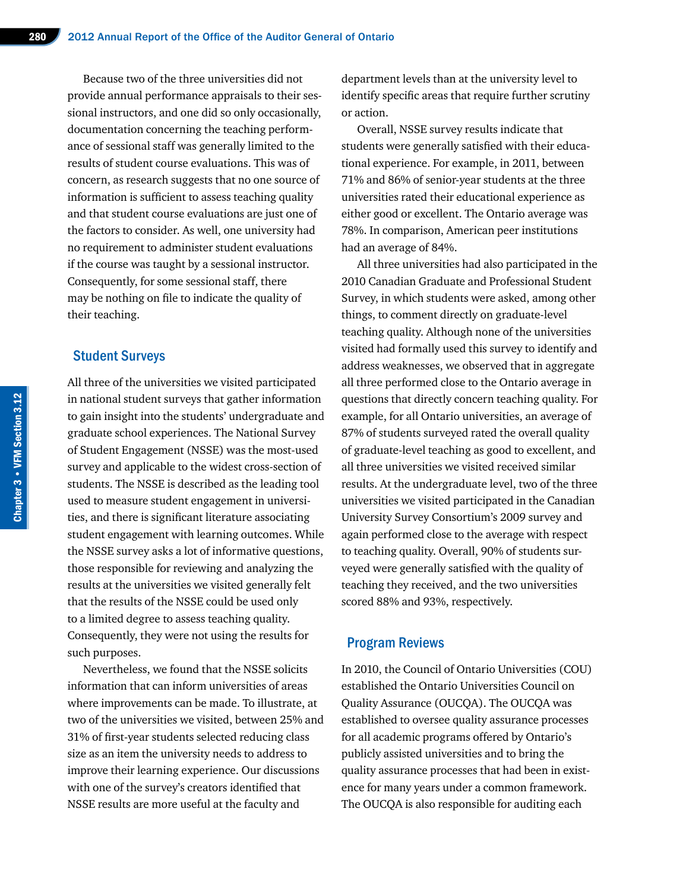Because two of the three universities did not provide annual performance appraisals to their sessional instructors, and one did so only occasionally, documentation concerning the teaching performance of sessional staff was generally limited to the results of student course evaluations. This was of concern, as research suggests that no one source of information is sufficient to assess teaching quality and that student course evaluations are just one of the factors to consider. As well, one university had no requirement to administer student evaluations if the course was taught by a sessional instructor. Consequently, for some sessional staff, there may be nothing on file to indicate the quality of their teaching.

#### Student Surveys

All three of the universities we visited participated in national student surveys that gather information to gain insight into the students' undergraduate and graduate school experiences. The National Survey of Student Engagement (NSSE) was the most-used survey and applicable to the widest cross-section of students. The NSSE is described as the leading tool used to measure student engagement in universities, and there is significant literature associating student engagement with learning outcomes. While the NSSE survey asks a lot of informative questions, those responsible for reviewing and analyzing the results at the universities we visited generally felt that the results of the NSSE could be used only to a limited degree to assess teaching quality. Consequently, they were not using the results for such purposes.

Nevertheless, we found that the NSSE solicits information that can inform universities of areas where improvements can be made. To illustrate, at two of the universities we visited, between 25% and 31% of first-year students selected reducing class size as an item the university needs to address to improve their learning experience. Our discussions with one of the survey's creators identified that NSSE results are more useful at the faculty and

department levels than at the university level to identify specific areas that require further scrutiny or action.

Overall, NSSE survey results indicate that students were generally satisfied with their educational experience. For example, in 2011, between 71% and 86% of senior-year students at the three universities rated their educational experience as either good or excellent. The Ontario average was 78%. In comparison, American peer institutions had an average of 84%.

All three universities had also participated in the 2010 Canadian Graduate and Professional Student Survey, in which students were asked, among other things, to comment directly on graduate-level teaching quality. Although none of the universities visited had formally used this survey to identify and address weaknesses, we observed that in aggregate all three performed close to the Ontario average in questions that directly concern teaching quality. For example, for all Ontario universities, an average of 87% of students surveyed rated the overall quality of graduate-level teaching as good to excellent, and all three universities we visited received similar results. At the undergraduate level, two of the three universities we visited participated in the Canadian University Survey Consortium's 2009 survey and again performed close to the average with respect to teaching quality. Overall, 90% of students surveyed were generally satisfied with the quality of teaching they received, and the two universities scored 88% and 93%, respectively.

#### Program Reviews

In 2010, the Council of Ontario Universities (COU) established the Ontario Universities Council on Quality Assurance (OUCQA). The OUCQA was established to oversee quality assurance processes for all academic programs offered by Ontario's publicly assisted universities and to bring the quality assurance processes that had been in existence for many years under a common framework. The OUCQA is also responsible for auditing each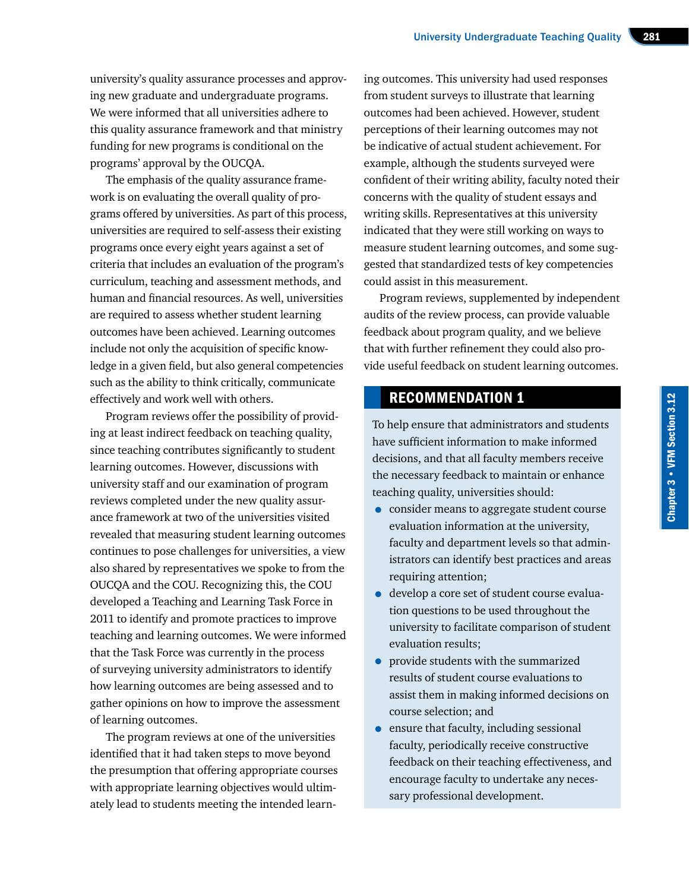university's quality assurance processes and approving new graduate and undergraduate programs. We were informed that all universities adhere to this quality assurance framework and that ministry funding for new programs is conditional on the programs' approval by the OUCQA.

The emphasis of the quality assurance framework is on evaluating the overall quality of programs offered by universities. As part of this process, universities are required to self-assess their existing programs once every eight years against a set of criteria that includes an evaluation of the program's curriculum, teaching and assessment methods, and human and financial resources. As well, universities are required to assess whether student learning outcomes have been achieved. Learning outcomes include not only the acquisition of specific knowledge in a given field, but also general competencies such as the ability to think critically, communicate effectively and work well with others.

Program reviews offer the possibility of providing at least indirect feedback on teaching quality, since teaching contributes significantly to student learning outcomes. However, discussions with university staff and our examination of program reviews completed under the new quality assurance framework at two of the universities visited revealed that measuring student learning outcomes continues to pose challenges for universities, a view also shared by representatives we spoke to from the OUCQA and the COU. Recognizing this, the COU developed a Teaching and Learning Task Force in 2011 to identify and promote practices to improve teaching and learning outcomes. We were informed that the Task Force was currently in the process of surveying university administrators to identify how learning outcomes are being assessed and to gather opinions on how to improve the assessment of learning outcomes.

The program reviews at one of the universities identified that it had taken steps to move beyond the presumption that offering appropriate courses with appropriate learning objectives would ultimately lead to students meeting the intended learn-

ing outcomes. This university had used responses from student surveys to illustrate that learning outcomes had been achieved. However, student perceptions of their learning outcomes may not be indicative of actual student achievement. For example, although the students surveyed were confident of their writing ability, faculty noted their concerns with the quality of student essays and writing skills. Representatives at this university indicated that they were still working on ways to measure student learning outcomes, and some suggested that standardized tests of key competencies could assist in this measurement.

Program reviews, supplemented by independent audits of the review process, can provide valuable feedback about program quality, and we believe that with further refinement they could also provide useful feedback on student learning outcomes.

## RECOMMENDATION 1

To help ensure that administrators and students have sufficient information to make informed decisions, and that all faculty members receive the necessary feedback to maintain or enhance teaching quality, universities should:

- consider means to aggregate student course evaluation information at the university, faculty and department levels so that administrators can identify best practices and areas requiring attention;
- develop a core set of student course evaluation questions to be used throughout the university to facilitate comparison of student evaluation results;
- provide students with the summarized results of student course evaluations to assist them in making informed decisions on course selection; and
- ensure that faculty, including sessional faculty, periodically receive constructive feedback on their teaching effectiveness, and encourage faculty to undertake any necessary professional development.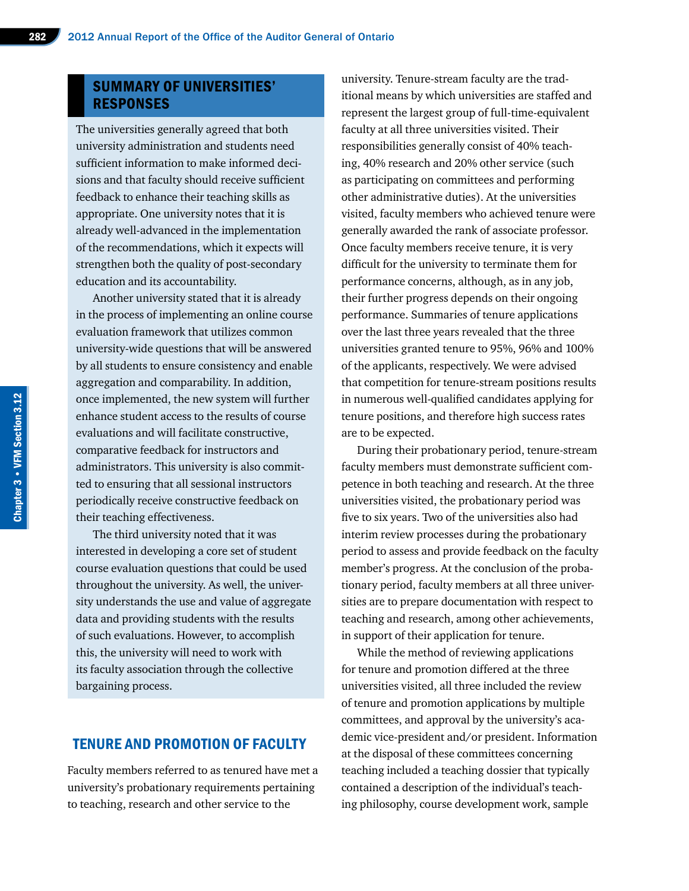#### SUMMARY OF UNIVERSITIES' RESPONSES

The universities generally agreed that both university administration and students need sufficient information to make informed decisions and that faculty should receive sufficient feedback to enhance their teaching skills as appropriate. One university notes that it is already well-advanced in the implementation of the recommendations, which it expects will strengthen both the quality of post-secondary education and its accountability.

Another university stated that it is already in the process of implementing an online course evaluation framework that utilizes common university-wide questions that will be answered by all students to ensure consistency and enable aggregation and comparability. In addition, once implemented, the new system will further enhance student access to the results of course evaluations and will facilitate constructive, comparative feedback for instructors and administrators. This university is also committed to ensuring that all sessional instructors periodically receive constructive feedback on their teaching effectiveness.

The third university noted that it was interested in developing a core set of student course evaluation questions that could be used throughout the university. As well, the university understands the use and value of aggregate data and providing students with the results of such evaluations. However, to accomplish this, the university will need to work with its faculty association through the collective bargaining process.

## TENURE AND PROMOTION OF FACULTY

Faculty members referred to as tenured have met a university's probationary requirements pertaining to teaching, research and other service to the

university. Tenure-stream faculty are the traditional means by which universities are staffed and represent the largest group of full-time-equivalent faculty at all three universities visited. Their responsibilities generally consist of 40% teaching, 40% research and 20% other service (such as participating on committees and performing other administrative duties). At the universities visited, faculty members who achieved tenure were generally awarded the rank of associate professor. Once faculty members receive tenure, it is very difficult for the university to terminate them for performance concerns, although, as in any job, their further progress depends on their ongoing performance. Summaries of tenure applications over the last three years revealed that the three universities granted tenure to 95%, 96% and 100% of the applicants, respectively. We were advised that competition for tenure-stream positions results in numerous well-qualified candidates applying for tenure positions, and therefore high success rates are to be expected.

During their probationary period, tenure-stream faculty members must demonstrate sufficient competence in both teaching and research. At the three universities visited, the probationary period was five to six years. Two of the universities also had interim review processes during the probationary period to assess and provide feedback on the faculty member's progress. At the conclusion of the probationary period, faculty members at all three universities are to prepare documentation with respect to teaching and research, among other achievements, in support of their application for tenure.

While the method of reviewing applications for tenure and promotion differed at the three universities visited, all three included the review of tenure and promotion applications by multiple committees, and approval by the university's academic vice-president and/or president. Information at the disposal of these committees concerning teaching included a teaching dossier that typically contained a description of the individual's teaching philosophy, course development work, sample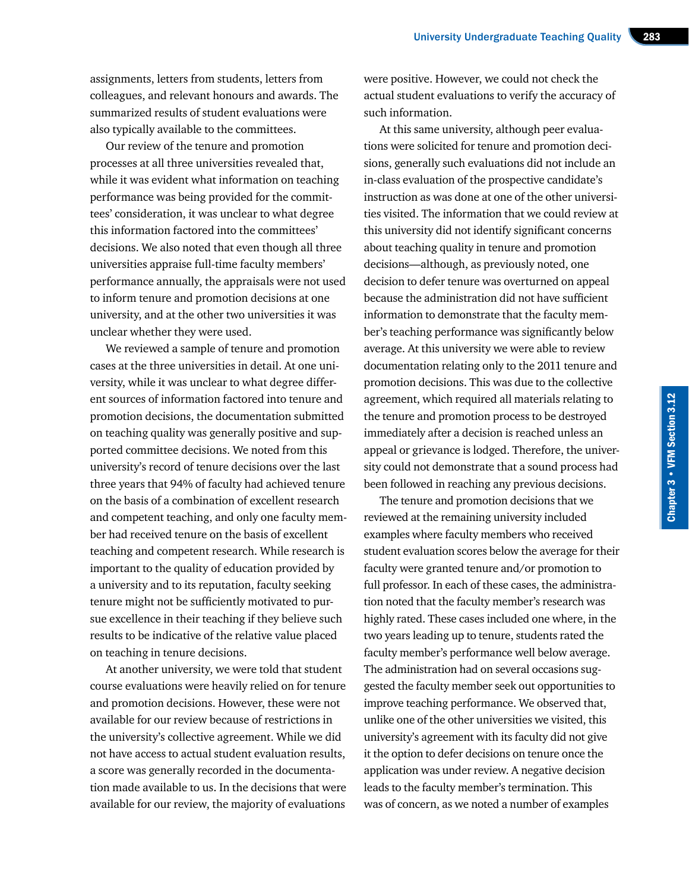assignments, letters from students, letters from colleagues, and relevant honours and awards. The summarized results of student evaluations were also typically available to the committees.

Our review of the tenure and promotion processes at all three universities revealed that, while it was evident what information on teaching performance was being provided for the committees' consideration, it was unclear to what degree this information factored into the committees' decisions. We also noted that even though all three universities appraise full-time faculty members' performance annually, the appraisals were not used to inform tenure and promotion decisions at one university, and at the other two universities it was unclear whether they were used.

We reviewed a sample of tenure and promotion cases at the three universities in detail. At one university, while it was unclear to what degree different sources of information factored into tenure and promotion decisions, the documentation submitted on teaching quality was generally positive and supported committee decisions. We noted from this university's record of tenure decisions over the last three years that 94% of faculty had achieved tenure on the basis of a combination of excellent research and competent teaching, and only one faculty member had received tenure on the basis of excellent teaching and competent research. While research is important to the quality of education provided by a university and to its reputation, faculty seeking tenure might not be sufficiently motivated to pursue excellence in their teaching if they believe such results to be indicative of the relative value placed on teaching in tenure decisions.

At another university, we were told that student course evaluations were heavily relied on for tenure and promotion decisions. However, these were not available for our review because of restrictions in the university's collective agreement. While we did not have access to actual student evaluation results, a score was generally recorded in the documentation made available to us. In the decisions that were available for our review, the majority of evaluations were positive. However, we could not check the actual student evaluations to verify the accuracy of such information.

At this same university, although peer evaluations were solicited for tenure and promotion decisions, generally such evaluations did not include an in-class evaluation of the prospective candidate's instruction as was done at one of the other universities visited. The information that we could review at this university did not identify significant concerns about teaching quality in tenure and promotion decisions—although, as previously noted, one decision to defer tenure was overturned on appeal because the administration did not have sufficient information to demonstrate that the faculty member's teaching performance was significantly below average. At this university we were able to review documentation relating only to the 2011 tenure and promotion decisions. This was due to the collective agreement, which required all materials relating to the tenure and promotion process to be destroyed immediately after a decision is reached unless an appeal or grievance is lodged. Therefore, the university could not demonstrate that a sound process had been followed in reaching any previous decisions.

The tenure and promotion decisions that we reviewed at the remaining university included examples where faculty members who received student evaluation scores below the average for their faculty were granted tenure and/or promotion to full professor. In each of these cases, the administration noted that the faculty member's research was highly rated. These cases included one where, in the two years leading up to tenure, students rated the faculty member's performance well below average. The administration had on several occasions suggested the faculty member seek out opportunities to improve teaching performance. We observed that, unlike one of the other universities we visited, this university's agreement with its faculty did not give it the option to defer decisions on tenure once the application was under review. A negative decision leads to the faculty member's termination. This was of concern, as we noted a number of examples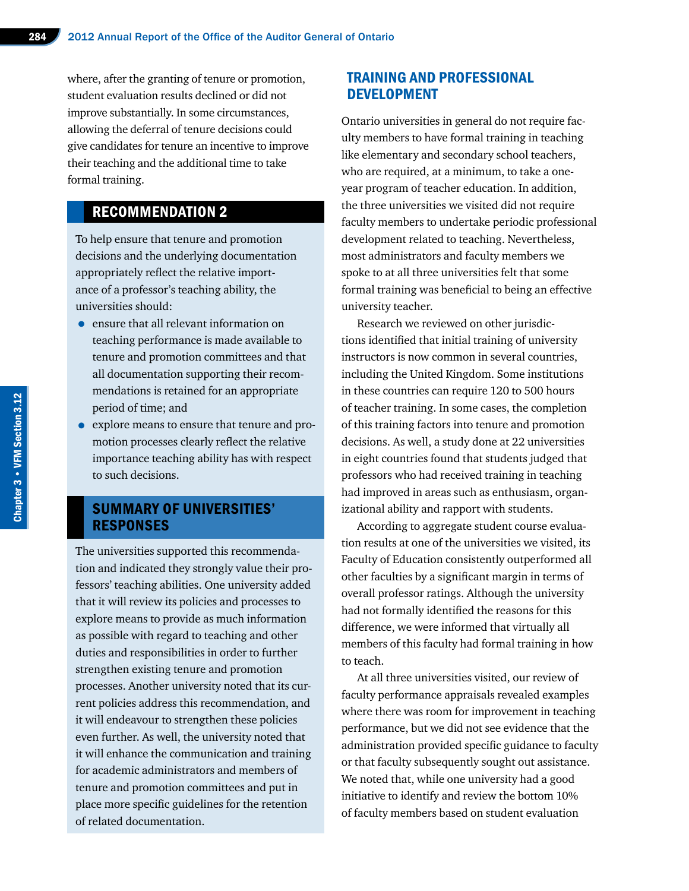where, after the granting of tenure or promotion, student evaluation results declined or did not improve substantially. In some circumstances, allowing the deferral of tenure decisions could give candidates for tenure an incentive to improve their teaching and the additional time to take formal training.

# RECOMMENDATION 2

To help ensure that tenure and promotion decisions and the underlying documentation appropriately reflect the relative importance of a professor's teaching ability, the universities should:

- ensure that all relevant information on teaching performance is made available to tenure and promotion committees and that all documentation supporting their recommendations is retained for an appropriate period of time; and
- explore means to ensure that tenure and promotion processes clearly reflect the relative importance teaching ability has with respect to such decisions.

#### SUMMARY OF UNIVERSITIES' RESPONSES

The universities supported this recommendation and indicated they strongly value their professors' teaching abilities. One university added that it will review its policies and processes to explore means to provide as much information as possible with regard to teaching and other duties and responsibilities in order to further strengthen existing tenure and promotion processes. Another university noted that its current policies address this recommendation, and it will endeavour to strengthen these policies even further. As well, the university noted that it will enhance the communication and training for academic administrators and members of tenure and promotion committees and put in place more specific guidelines for the retention of related documentation.

## TRAINING AND PROFESSIONAL DEVELOPMENT

Ontario universities in general do not require faculty members to have formal training in teaching like elementary and secondary school teachers, who are required, at a minimum, to take a oneyear program of teacher education. In addition, the three universities we visited did not require faculty members to undertake periodic professional development related to teaching. Nevertheless, most administrators and faculty members we spoke to at all three universities felt that some formal training was beneficial to being an effective university teacher.

Research we reviewed on other jurisdictions identified that initial training of university instructors is now common in several countries, including the United Kingdom. Some institutions in these countries can require 120 to 500 hours of teacher training. In some cases, the completion of this training factors into tenure and promotion decisions. As well, a study done at 22 universities in eight countries found that students judged that professors who had received training in teaching had improved in areas such as enthusiasm, organizational ability and rapport with students.

According to aggregate student course evaluation results at one of the universities we visited, its Faculty of Education consistently outperformed all other faculties by a significant margin in terms of overall professor ratings. Although the university had not formally identified the reasons for this difference, we were informed that virtually all members of this faculty had formal training in how to teach.

At all three universities visited, our review of faculty performance appraisals revealed examples where there was room for improvement in teaching performance, but we did not see evidence that the administration provided specific guidance to faculty or that faculty subsequently sought out assistance. We noted that, while one university had a good initiative to identify and review the bottom 10% of faculty members based on student evaluation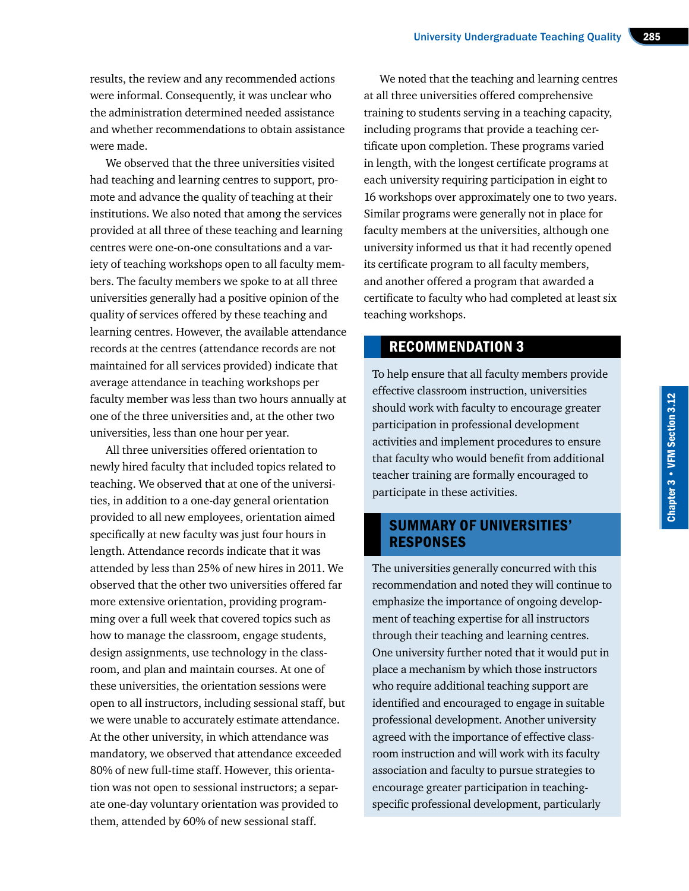results, the review and any recommended actions were informal. Consequently, it was unclear who the administration determined needed assistance and whether recommendations to obtain assistance were made.

We observed that the three universities visited had teaching and learning centres to support, promote and advance the quality of teaching at their institutions. We also noted that among the services provided at all three of these teaching and learning centres were one-on-one consultations and a variety of teaching workshops open to all faculty members. The faculty members we spoke to at all three universities generally had a positive opinion of the quality of services offered by these teaching and learning centres. However, the available attendance records at the centres (attendance records are not maintained for all services provided) indicate that average attendance in teaching workshops per faculty member was less than two hours annually at one of the three universities and, at the other two universities, less than one hour per year.

All three universities offered orientation to newly hired faculty that included topics related to teaching. We observed that at one of the universities, in addition to a one-day general orientation provided to all new employees, orientation aimed specifically at new faculty was just four hours in length. Attendance records indicate that it was attended by less than 25% of new hires in 2011. We observed that the other two universities offered far more extensive orientation, providing programming over a full week that covered topics such as how to manage the classroom, engage students, design assignments, use technology in the classroom, and plan and maintain courses. At one of these universities, the orientation sessions were open to all instructors, including sessional staff, but we were unable to accurately estimate attendance. At the other university, in which attendance was mandatory, we observed that attendance exceeded 80% of new full-time staff. However, this orientation was not open to sessional instructors; a separate one-day voluntary orientation was provided to them, attended by 60% of new sessional staff.

We noted that the teaching and learning centres at all three universities offered comprehensive training to students serving in a teaching capacity, including programs that provide a teaching certificate upon completion. These programs varied in length, with the longest certificate programs at each university requiring participation in eight to 16 workshops over approximately one to two years. Similar programs were generally not in place for faculty members at the universities, although one university informed us that it had recently opened its certificate program to all faculty members, and another offered a program that awarded a certificate to faculty who had completed at least six teaching workshops.

## RECOMMENDATION 3

To help ensure that all faculty members provide effective classroom instruction, universities should work with faculty to encourage greater participation in professional development activities and implement procedures to ensure that faculty who would benefit from additional teacher training are formally encouraged to participate in these activities.

#### SUMMARY OF UNIVERSITIES' RESPONSES

The universities generally concurred with this recommendation and noted they will continue to emphasize the importance of ongoing development of teaching expertise for all instructors through their teaching and learning centres. One university further noted that it would put in place a mechanism by which those instructors who require additional teaching support are identified and encouraged to engage in suitable professional development. Another university agreed with the importance of effective classroom instruction and will work with its faculty association and faculty to pursue strategies to encourage greater participation in teachingspecific professional development, particularly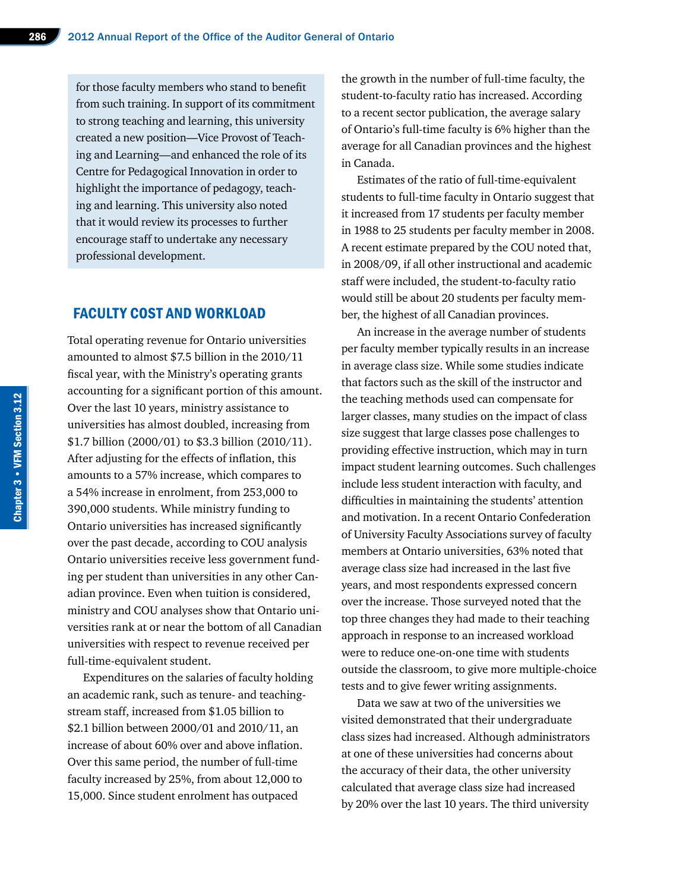for those faculty members who stand to benefit from such training. In support of its commitment to strong teaching and learning, this university created a new position—Vice Provost of Teaching and Learning—and enhanced the role of its Centre for Pedagogical Innovation in order to highlight the importance of pedagogy, teaching and learning. This university also noted that it would review its processes to further encourage staff to undertake any necessary professional development.

#### FACULTY COST AND WORKLOAD

Total operating revenue for Ontario universities amounted to almost \$7.5 billion in the 2010/11 fiscal year, with the Ministry's operating grants accounting for a significant portion of this amount. Over the last 10 years, ministry assistance to universities has almost doubled, increasing from \$1.7 billion (2000/01) to \$3.3 billion (2010/11). After adjusting for the effects of inflation, this amounts to a 57% increase, which compares to a 54% increase in enrolment, from 253,000 to 390,000 students. While ministry funding to Ontario universities has increased significantly over the past decade, according to COU analysis Ontario universities receive less government funding per student than universities in any other Canadian province. Even when tuition is considered, ministry and COU analyses show that Ontario universities rank at or near the bottom of all Canadian universities with respect to revenue received per full-time-equivalent student.

Expenditures on the salaries of faculty holding an academic rank, such as tenure- and teachingstream staff, increased from \$1.05 billion to \$2.1 billion between 2000/01 and 2010/11, an increase of about 60% over and above inflation. Over this same period, the number of full-time faculty increased by 25%, from about 12,000 to 15,000. Since student enrolment has outpaced

the growth in the number of full-time faculty, the student-to-faculty ratio has increased. According to a recent sector publication, the average salary of Ontario's full-time faculty is 6% higher than the average for all Canadian provinces and the highest in Canada.

Estimates of the ratio of full-time-equivalent students to full-time faculty in Ontario suggest that it increased from 17 students per faculty member in 1988 to 25 students per faculty member in 2008. A recent estimate prepared by the COU noted that, in 2008/09, if all other instructional and academic staff were included, the student-to-faculty ratio would still be about 20 students per faculty member, the highest of all Canadian provinces.

An increase in the average number of students per faculty member typically results in an increase in average class size. While some studies indicate that factors such as the skill of the instructor and the teaching methods used can compensate for larger classes, many studies on the impact of class size suggest that large classes pose challenges to providing effective instruction, which may in turn impact student learning outcomes. Such challenges include less student interaction with faculty, and difficulties in maintaining the students' attention and motivation. In a recent Ontario Confederation of University Faculty Associations survey of faculty members at Ontario universities, 63% noted that average class size had increased in the last five years, and most respondents expressed concern over the increase. Those surveyed noted that the top three changes they had made to their teaching approach in response to an increased workload were to reduce one-on-one time with students outside the classroom, to give more multiple-choice tests and to give fewer writing assignments.

Data we saw at two of the universities we visited demonstrated that their undergraduate class sizes had increased. Although administrators at one of these universities had concerns about the accuracy of their data, the other university calculated that average class size had increased by 20% over the last 10 years. The third university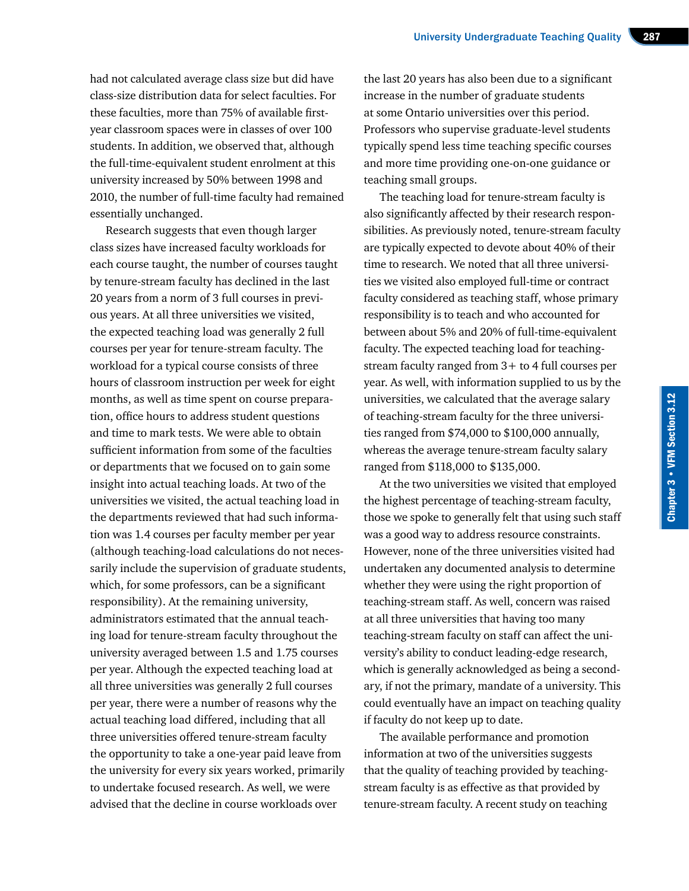had not calculated average class size but did have class-size distribution data for select faculties. For these faculties, more than 75% of available firstyear classroom spaces were in classes of over 100 students. In addition, we observed that, although the full-time-equivalent student enrolment at this university increased by 50% between 1998 and 2010, the number of full-time faculty had remained essentially unchanged.

Research suggests that even though larger class sizes have increased faculty workloads for each course taught, the number of courses taught by tenure-stream faculty has declined in the last 20 years from a norm of 3 full courses in previous years. At all three universities we visited, the expected teaching load was generally 2 full courses per year for tenure-stream faculty. The workload for a typical course consists of three hours of classroom instruction per week for eight months, as well as time spent on course preparation, office hours to address student questions and time to mark tests. We were able to obtain sufficient information from some of the faculties or departments that we focused on to gain some insight into actual teaching loads. At two of the universities we visited, the actual teaching load in the departments reviewed that had such information was 1.4 courses per faculty member per year (although teaching-load calculations do not necessarily include the supervision of graduate students, which, for some professors, can be a significant responsibility). At the remaining university, administrators estimated that the annual teaching load for tenure-stream faculty throughout the university averaged between 1.5 and 1.75 courses per year. Although the expected teaching load at all three universities was generally 2 full courses per year, there were a number of reasons why the actual teaching load differed, including that all three universities offered tenure-stream faculty the opportunity to take a one-year paid leave from the university for every six years worked, primarily to undertake focused research. As well, we were advised that the decline in course workloads over

the last 20 years has also been due to a significant increase in the number of graduate students at some Ontario universities over this period. Professors who supervise graduate-level students typically spend less time teaching specific courses and more time providing one-on-one guidance or teaching small groups.

The teaching load for tenure-stream faculty is also significantly affected by their research responsibilities. As previously noted, tenure-stream faculty are typically expected to devote about 40% of their time to research. We noted that all three universities we visited also employed full-time or contract faculty considered as teaching staff, whose primary responsibility is to teach and who accounted for between about 5% and 20% of full-time-equivalent faculty. The expected teaching load for teachingstream faculty ranged from 3+ to 4 full courses per year. As well, with information supplied to us by the universities, we calculated that the average salary of teaching-stream faculty for the three universities ranged from \$74,000 to \$100,000 annually, whereas the average tenure-stream faculty salary ranged from \$118,000 to \$135,000.

At the two universities we visited that employed the highest percentage of teaching-stream faculty, those we spoke to generally felt that using such staff was a good way to address resource constraints. However, none of the three universities visited had undertaken any documented analysis to determine whether they were using the right proportion of teaching-stream staff. As well, concern was raised at all three universities that having too many teaching-stream faculty on staff can affect the university's ability to conduct leading-edge research, which is generally acknowledged as being a secondary, if not the primary, mandate of a university. This could eventually have an impact on teaching quality if faculty do not keep up to date.

The available performance and promotion information at two of the universities suggests that the quality of teaching provided by teachingstream faculty is as effective as that provided by tenure-stream faculty. A recent study on teaching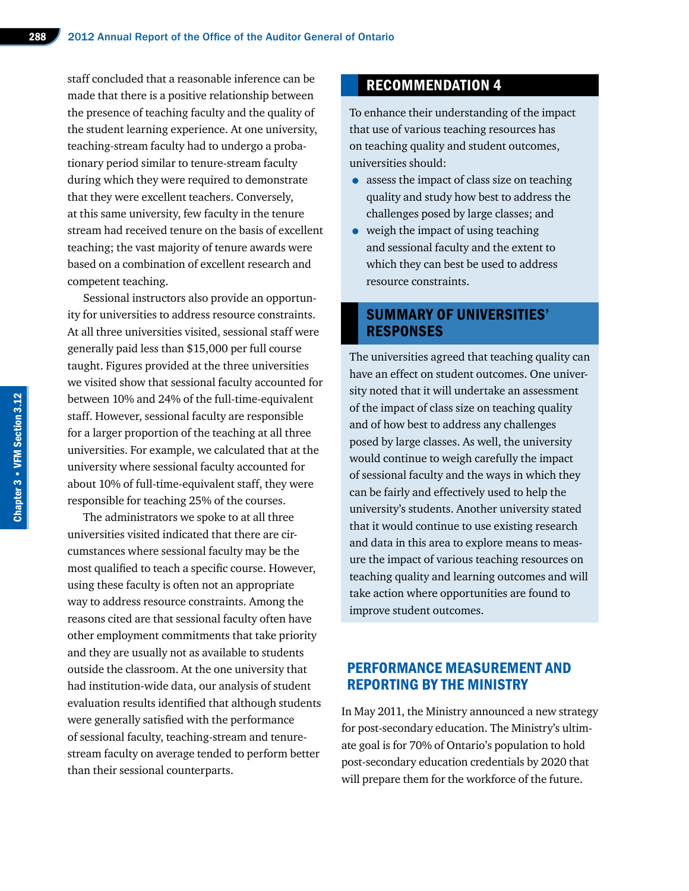staff concluded that a reasonable inference can be made that there is a positive relationship between the presence of teaching faculty and the quality of the student learning experience. At one university, teaching-stream faculty had to undergo a probationary period similar to tenure-stream faculty during which they were required to demonstrate that they were excellent teachers. Conversely, at this same university, few faculty in the tenure stream had received tenure on the basis of excellent teaching; the vast majority of tenure awards were based on a combination of excellent research and competent teaching.

Sessional instructors also provide an opportunity for universities to address resource constraints. At all three universities visited, sessional staff were generally paid less than \$15,000 per full course taught. Figures provided at the three universities we visited show that sessional faculty accounted for between 10% and 24% of the full-time-equivalent staff. However, sessional faculty are responsible for a larger proportion of the teaching at all three universities. For example, we calculated that at the university where sessional faculty accounted for about 10% of full-time-equivalent staff, they were responsible for teaching 25% of the courses.

The administrators we spoke to at all three universities visited indicated that there are circumstances where sessional faculty may be the most qualified to teach a specific course. However, using these faculty is often not an appropriate way to address resource constraints. Among the reasons cited are that sessional faculty often have other employment commitments that take priority and they are usually not as available to students outside the classroom. At the one university that had institution-wide data, our analysis of student evaluation results identified that although students were generally satisfied with the performance of sessional faculty, teaching-stream and tenurestream faculty on average tended to perform better than their sessional counterparts.

## RECOMMENDATION 4

To enhance their understanding of the impact that use of various teaching resources has on teaching quality and student outcomes, universities should:

- assess the impact of class size on teaching quality and study how best to address the challenges posed by large classes; and
- weigh the impact of using teaching and sessional faculty and the extent to which they can best be used to address resource constraints.

#### SUMMARY OF UNIVERSITIES' RESPONSES

The universities agreed that teaching quality can have an effect on student outcomes. One university noted that it will undertake an assessment of the impact of class size on teaching quality and of how best to address any challenges posed by large classes. As well, the university would continue to weigh carefully the impact of sessional faculty and the ways in which they can be fairly and effectively used to help the university's students. Another university stated that it would continue to use existing research and data in this area to explore means to measure the impact of various teaching resources on teaching quality and learning outcomes and will take action where opportunities are found to improve student outcomes.

#### PERFORMANCE MEASUREMENT AND REPORTING BY THE MINISTRY

In May 2011, the Ministry announced a new strategy for post-secondary education. The Ministry's ultimate goal is for 70% of Ontario's population to hold post-secondary education credentials by 2020 that will prepare them for the workforce of the future.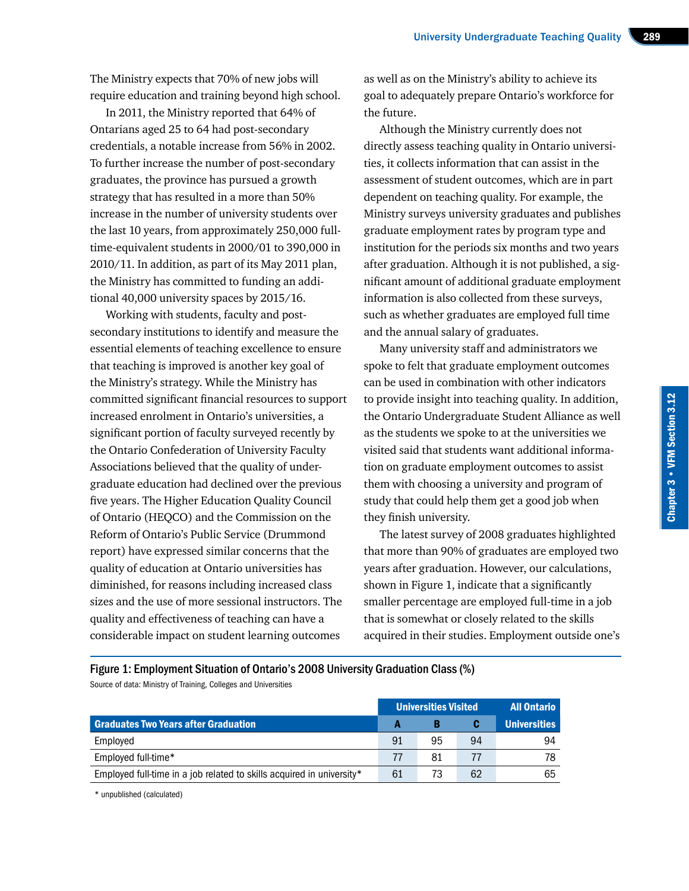The Ministry expects that 70% of new jobs will require education and training beyond high school.

In 2011, the Ministry reported that 64% of Ontarians aged 25 to 64 had post-secondary credentials, a notable increase from 56% in 2002. To further increase the number of post-secondary graduates, the province has pursued a growth strategy that has resulted in a more than 50% increase in the number of university students over the last 10 years, from approximately 250,000 fulltime-equivalent students in 2000/01 to 390,000 in 2010/11. In addition, as part of its May 2011 plan, the Ministry has committed to funding an additional 40,000 university spaces by 2015/16.

Working with students, faculty and postsecondary institutions to identify and measure the essential elements of teaching excellence to ensure that teaching is improved is another key goal of the Ministry's strategy. While the Ministry has committed significant financial resources to support increased enrolment in Ontario's universities, a significant portion of faculty surveyed recently by the Ontario Confederation of University Faculty Associations believed that the quality of undergraduate education had declined over the previous five years. The Higher Education Quality Council of Ontario (HEQCO) and the Commission on the Reform of Ontario's Public Service (Drummond report) have expressed similar concerns that the quality of education at Ontario universities has diminished, for reasons including increased class sizes and the use of more sessional instructors. The quality and effectiveness of teaching can have a considerable impact on student learning outcomes

as well as on the Ministry's ability to achieve its goal to adequately prepare Ontario's workforce for the future.

Although the Ministry currently does not directly assess teaching quality in Ontario universities, it collects information that can assist in the assessment of student outcomes, which are in part dependent on teaching quality. For example, the Ministry surveys university graduates and publishes graduate employment rates by program type and institution for the periods six months and two years after graduation. Although it is not published, a significant amount of additional graduate employment information is also collected from these surveys, such as whether graduates are employed full time and the annual salary of graduates.

Many university staff and administrators we spoke to felt that graduate employment outcomes can be used in combination with other indicators to provide insight into teaching quality. In addition, the Ontario Undergraduate Student Alliance as well as the students we spoke to at the universities we visited said that students want additional information on graduate employment outcomes to assist them with choosing a university and program of study that could help them get a good job when they finish university.

Chapter 3 • VFM Section 3.12

Chapter 3 . VFM Section 3.12

The latest survey of 2008 graduates highlighted that more than 90% of graduates are employed two years after graduation. However, our calculations, shown in Figure 1, indicate that a significantly smaller percentage are employed full-time in a job that is somewhat or closely related to the skills acquired in their studies. Employment outside one's

Figure 1: Employment Situation of Ontario's 2008 University Graduation Class (%) Source of data: Ministry of Training, Colleges and Universities

|                                                                       | <b>Universities Visited</b> |    |                | <b>All Ontario</b>  |
|-----------------------------------------------------------------------|-----------------------------|----|----------------|---------------------|
| <b>Graduates Two Years after Graduation</b>                           |                             |    |                | <b>Universities</b> |
| Employed                                                              | 91                          | 95 | 94             | 94                  |
| Employed full-time*                                                   | 77                          | 81 | $\prime\prime$ |                     |
| Employed full-time in a job related to skills acquired in university* | 61                          | 73 | 62             | 65                  |

\* unpublished (calculated)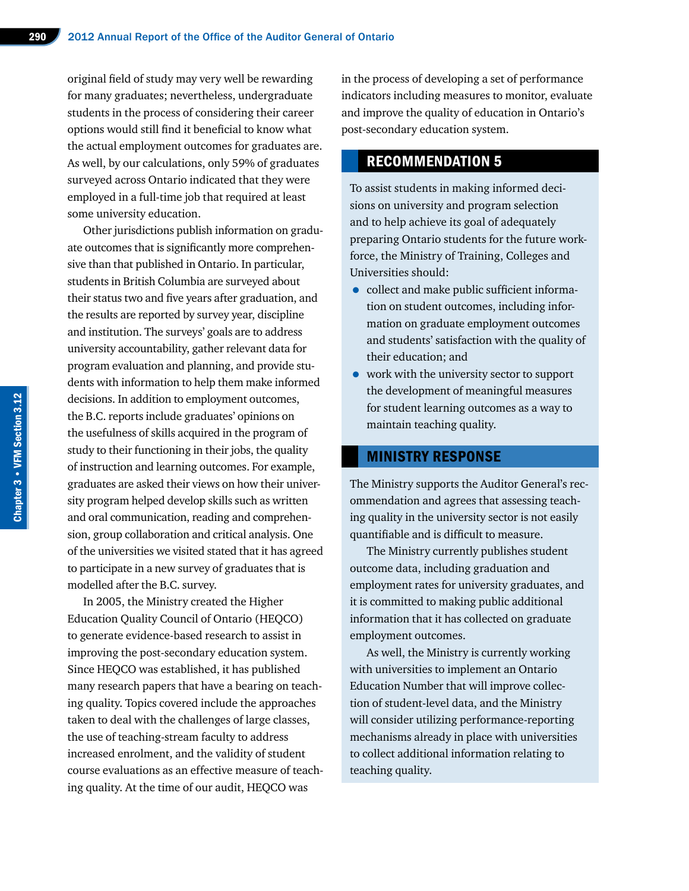original field of study may very well be rewarding for many graduates; nevertheless, undergraduate students in the process of considering their career options would still find it beneficial to know what the actual employment outcomes for graduates are. As well, by our calculations, only 59% of graduates surveyed across Ontario indicated that they were employed in a full-time job that required at least some university education.

Other jurisdictions publish information on graduate outcomes that is significantly more comprehensive than that published in Ontario. In particular, students in British Columbia are surveyed about their status two and five years after graduation, and the results are reported by survey year, discipline and institution. The surveys' goals are to address university accountability, gather relevant data for program evaluation and planning, and provide students with information to help them make informed decisions. In addition to employment outcomes, the B.C. reports include graduates' opinions on the usefulness of skills acquired in the program of study to their functioning in their jobs, the quality of instruction and learning outcomes. For example, graduates are asked their views on how their university program helped develop skills such as written and oral communication, reading and comprehension, group collaboration and critical analysis. One of the universities we visited stated that it has agreed to participate in a new survey of graduates that is modelled after the B.C. survey.

In 2005, the Ministry created the Higher Education Quality Council of Ontario (HEQCO) to generate evidence-based research to assist in improving the post-secondary education system. Since HEQCO was established, it has published many research papers that have a bearing on teaching quality. Topics covered include the approaches taken to deal with the challenges of large classes, the use of teaching-stream faculty to address increased enrolment, and the validity of student course evaluations as an effective measure of teaching quality. At the time of our audit, HEQCO was

in the process of developing a set of performance indicators including measures to monitor, evaluate and improve the quality of education in Ontario's post-secondary education system.

#### RECOMMENDATION 5

To assist students in making informed decisions on university and program selection and to help achieve its goal of adequately preparing Ontario students for the future workforce, the Ministry of Training, Colleges and Universities should:

- collect and make public sufficient information on student outcomes, including information on graduate employment outcomes and students' satisfaction with the quality of their education; and
- work with the university sector to support the development of meaningful measures for student learning outcomes as a way to maintain teaching quality.

#### MINISTRY RESPONSE

The Ministry supports the Auditor General's recommendation and agrees that assessing teaching quality in the university sector is not easily quantifiable and is difficult to measure.

The Ministry currently publishes student outcome data, including graduation and employment rates for university graduates, and it is committed to making public additional information that it has collected on graduate employment outcomes.

As well, the Ministry is currently working with universities to implement an Ontario Education Number that will improve collection of student-level data, and the Ministry will consider utilizing performance-reporting mechanisms already in place with universities to collect additional information relating to teaching quality.